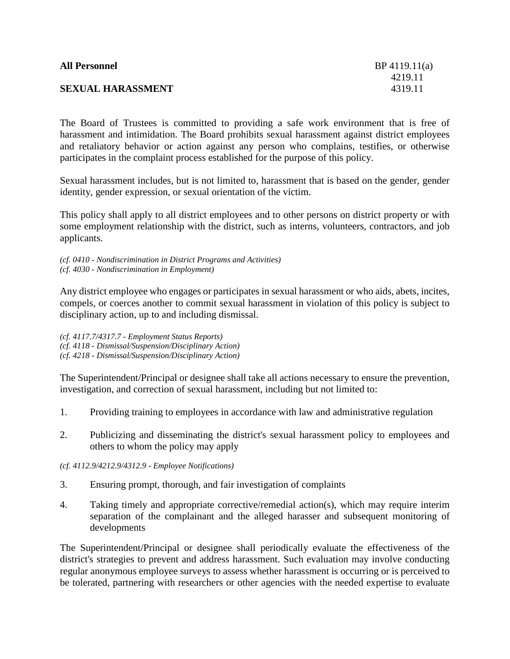| <b>All Personnel</b>     | $BP$ 4119.11(a) |
|--------------------------|-----------------|
|                          | 4219.11         |
| <b>SEXUAL HARASSMENT</b> | 4319.11         |
|                          |                 |

The Board of Trustees is committed to providing a safe work environment that is free of harassment and intimidation. The Board prohibits sexual harassment against district employees and retaliatory behavior or action against any person who complains, testifies, or otherwise participates in the complaint process established for the purpose of this policy.

Sexual harassment includes, but is not limited to, harassment that is based on the gender, gender identity, gender expression, or sexual orientation of the victim.

This policy shall apply to all district employees and to other persons on district property or with some employment relationship with the district, such as interns, volunteers, contractors, and job applicants.

*(cf. 0410 - Nondiscrimination in District Programs and Activities) (cf. 4030 - Nondiscrimination in Employment)*

Any district employee who engages or participates in sexual harassment or who aids, abets, incites, compels, or coerces another to commit sexual harassment in violation of this policy is subject to disciplinary action, up to and including dismissal.

*(cf. 4117.7/4317.7 - Employment Status Reports) (cf. 4118 - Dismissal/Suspension/Disciplinary Action) (cf. 4218 - Dismissal/Suspension/Disciplinary Action)*

The Superintendent/Principal or designee shall take all actions necessary to ensure the prevention, investigation, and correction of sexual harassment, including but not limited to:

- 1. Providing training to employees in accordance with law and administrative regulation
- 2. Publicizing and disseminating the district's sexual harassment policy to employees and others to whom the policy may apply

#### *(cf. 4112.9/4212.9/4312.9 - Employee Notifications)*

- 3. Ensuring prompt, thorough, and fair investigation of complaints
- 4. Taking timely and appropriate corrective/remedial action(s), which may require interim separation of the complainant and the alleged harasser and subsequent monitoring of developments

The Superintendent/Principal or designee shall periodically evaluate the effectiveness of the district's strategies to prevent and address harassment. Such evaluation may involve conducting regular anonymous employee surveys to assess whether harassment is occurring or is perceived to be tolerated, partnering with researchers or other agencies with the needed expertise to evaluate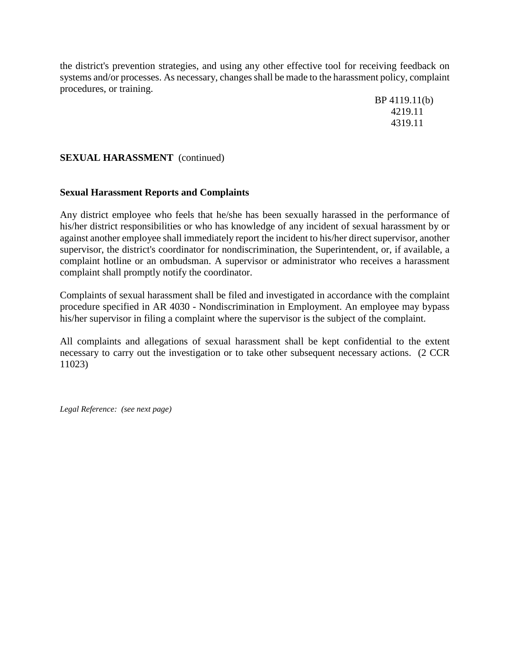the district's prevention strategies, and using any other effective tool for receiving feedback on systems and/or processes. As necessary, changes shall be made to the harassment policy, complaint procedures, or training.

> BP 4119.11(b) 4219.11 4319.11

## **SEXUAL HARASSMENT** (continued)

#### **Sexual Harassment Reports and Complaints**

Any district employee who feels that he/she has been sexually harassed in the performance of his/her district responsibilities or who has knowledge of any incident of sexual harassment by or against another employee shall immediately report the incident to his/her direct supervisor, another supervisor, the district's coordinator for nondiscrimination, the Superintendent, or, if available, a complaint hotline or an ombudsman. A supervisor or administrator who receives a harassment complaint shall promptly notify the coordinator.

Complaints of sexual harassment shall be filed and investigated in accordance with the complaint procedure specified in AR 4030 - Nondiscrimination in Employment. An employee may bypass his/her supervisor in filing a complaint where the supervisor is the subject of the complaint.

All complaints and allegations of sexual harassment shall be kept confidential to the extent necessary to carry out the investigation or to take other subsequent necessary actions. (2 CCR 11023)

*Legal Reference: (see next page)*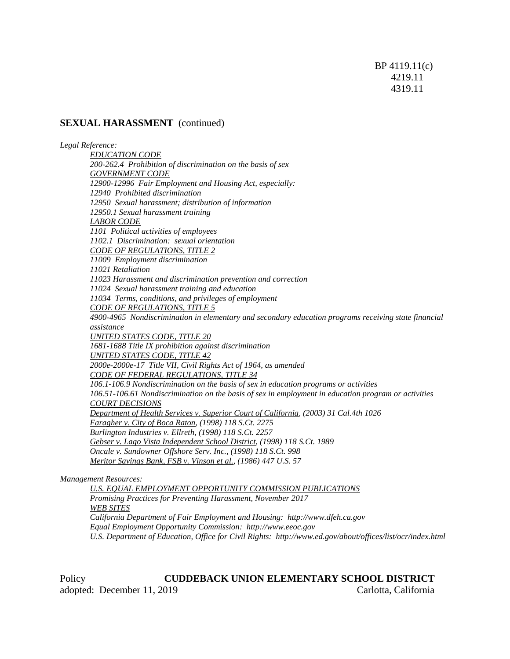BP 4119.11(c) 4219.11 4319.11

#### **SEXUAL HARASSMENT** (continued)

*Legal Reference:*

*EDUCATION CODE 200-262.4 Prohibition of discrimination on the basis of sex GOVERNMENT CODE 12900-12996 Fair Employment and Housing Act, especially: 12940 Prohibited discrimination 12950 Sexual harassment; distribution of information 12950.1 Sexual harassment training LABOR CODE 1101 Political activities of employees 1102.1 Discrimination: sexual orientation CODE OF REGULATIONS, TITLE 2 11009 Employment discrimination 11021 Retaliation 11023 Harassment and discrimination prevention and correction 11024 Sexual harassment training and education 11034 Terms, conditions, and privileges of employment CODE OF REGULATIONS, TITLE 5 4900-4965 Nondiscrimination in elementary and secondary education programs receiving state financial assistance UNITED STATES CODE, TITLE 20 1681-1688 Title IX prohibition against discrimination UNITED STATES CODE, TITLE 42 2000e-2000e-17 Title VII, Civil Rights Act of 1964, as amended CODE OF FEDERAL REGULATIONS, TITLE 34 106.1-106.9 Nondiscrimination on the basis of sex in education programs or activities 106.51-106.61 Nondiscrimination on the basis of sex in employment in education program or activities COURT DECISIONS Department of Health Services v. Superior Court of California, (2003) 31 Cal.4th 1026 Faragher v. City of Boca Raton, (1998) 118 S.Ct. 2275 Burlington Industries v. Ellreth, (1998) 118 S.Ct. 2257 Gebser v. Lago Vista Independent School District, (1998) 118 S.Ct. 1989 Oncale v. Sundowner Offshore Serv. Inc., (1998) 118 S.Ct. 998 Meritor Savings Bank, FSB v. Vinson et al., (1986) 447 U.S. 57*

*Management Resources:*

*U.S. EQUAL EMPLOYMENT OPPORTUNITY COMMISSION PUBLICATIONS Promising Practices for Preventing Harassment, November 2017 WEB SITES California Department of Fair Employment and Housing: http://www.dfeh.ca.gov Equal Employment Opportunity Commission: http://www.eeoc.gov U.S. Department of Education, Office for Civil Rights: http://www.ed.gov/about/offices/list/ocr/index.html*

Policy **CUDDEBACK UNION ELEMENTARY SCHOOL DISTRICT** adopted: December 11, 2019 Carlotta, California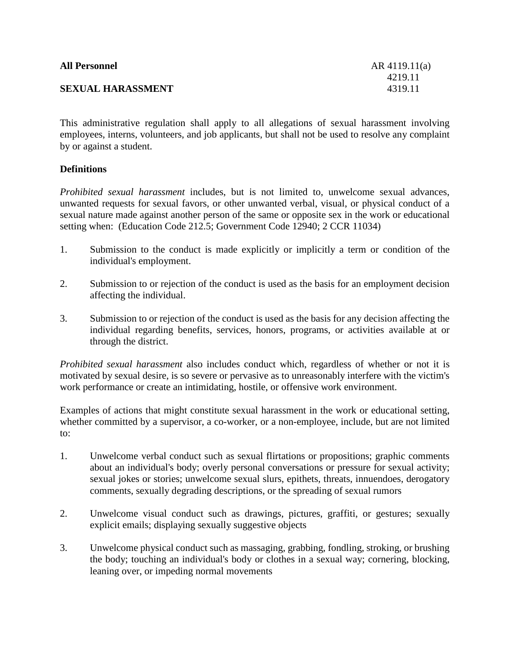| <b>All Personnel</b>     | $AR$ 4119.11(a) |
|--------------------------|-----------------|
|                          | 4219.11         |
| <b>SEXUAL HARASSMENT</b> | 4319.11         |
|                          |                 |

This administrative regulation shall apply to all allegations of sexual harassment involving employees, interns, volunteers, and job applicants, but shall not be used to resolve any complaint by or against a student.

# **Definitions**

*Prohibited sexual harassment* includes, but is not limited to, unwelcome sexual advances, unwanted requests for sexual favors, or other unwanted verbal, visual, or physical conduct of a sexual nature made against another person of the same or opposite sex in the work or educational setting when: (Education Code 212.5; Government Code 12940; 2 CCR 11034)

- 1. Submission to the conduct is made explicitly or implicitly a term or condition of the individual's employment.
- 2. Submission to or rejection of the conduct is used as the basis for an employment decision affecting the individual.
- 3. Submission to or rejection of the conduct is used as the basis for any decision affecting the individual regarding benefits, services, honors, programs, or activities available at or through the district.

*Prohibited sexual harassment* also includes conduct which, regardless of whether or not it is motivated by sexual desire, is so severe or pervasive as to unreasonably interfere with the victim's work performance or create an intimidating, hostile, or offensive work environment.

Examples of actions that might constitute sexual harassment in the work or educational setting, whether committed by a supervisor, a co-worker, or a non-employee, include, but are not limited to:

- 1. Unwelcome verbal conduct such as sexual flirtations or propositions; graphic comments about an individual's body; overly personal conversations or pressure for sexual activity; sexual jokes or stories; unwelcome sexual slurs, epithets, threats, innuendoes, derogatory comments, sexually degrading descriptions, or the spreading of sexual rumors
- 2. Unwelcome visual conduct such as drawings, pictures, graffiti, or gestures; sexually explicit emails; displaying sexually suggestive objects
- 3. Unwelcome physical conduct such as massaging, grabbing, fondling, stroking, or brushing the body; touching an individual's body or clothes in a sexual way; cornering, blocking, leaning over, or impeding normal movements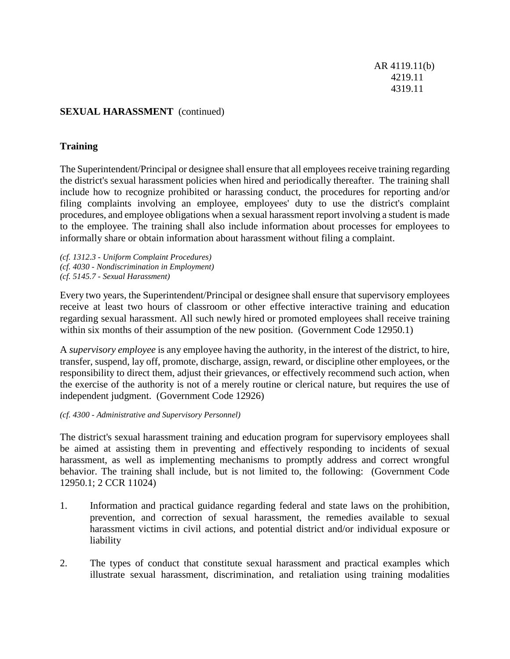AR 4119.11(b) 4219.11 4319.11

### **SEXUAL HARASSMENT** (continued)

### **Training**

The Superintendent/Principal or designee shall ensure that all employees receive training regarding the district's sexual harassment policies when hired and periodically thereafter. The training shall include how to recognize prohibited or harassing conduct, the procedures for reporting and/or filing complaints involving an employee, employees' duty to use the district's complaint procedures, and employee obligations when a sexual harassment report involving a student is made to the employee. The training shall also include information about processes for employees to informally share or obtain information about harassment without filing a complaint.

*(cf. 1312.3 - Uniform Complaint Procedures) (cf. 4030 - Nondiscrimination in Employment) (cf. 5145.7 - Sexual Harassment)*

Every two years, the Superintendent/Principal or designee shall ensure that supervisory employees receive at least two hours of classroom or other effective interactive training and education regarding sexual harassment. All such newly hired or promoted employees shall receive training within six months of their assumption of the new position. (Government Code 12950.1)

A *supervisory employee* is any employee having the authority, in the interest of the district, to hire, transfer, suspend, lay off, promote, discharge, assign, reward, or discipline other employees, or the responsibility to direct them, adjust their grievances, or effectively recommend such action, when the exercise of the authority is not of a merely routine or clerical nature, but requires the use of independent judgment. (Government Code 12926)

#### *(cf. 4300 - Administrative and Supervisory Personnel)*

The district's sexual harassment training and education program for supervisory employees shall be aimed at assisting them in preventing and effectively responding to incidents of sexual harassment, as well as implementing mechanisms to promptly address and correct wrongful behavior. The training shall include, but is not limited to, the following: (Government Code 12950.1; 2 CCR 11024)

- 1. Information and practical guidance regarding federal and state laws on the prohibition, prevention, and correction of sexual harassment, the remedies available to sexual harassment victims in civil actions, and potential district and/or individual exposure or liability
- 2. The types of conduct that constitute sexual harassment and practical examples which illustrate sexual harassment, discrimination, and retaliation using training modalities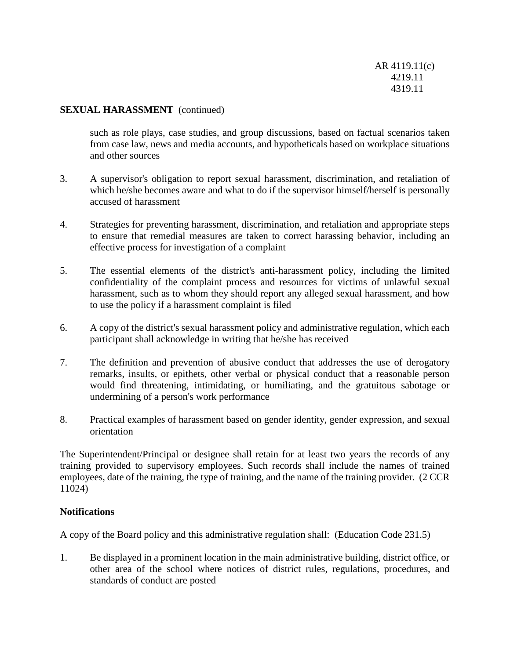AR 4119.11(c) 4219.11 4319.11

### **SEXUAL HARASSMENT** (continued)

such as role plays, case studies, and group discussions, based on factual scenarios taken from case law, news and media accounts, and hypotheticals based on workplace situations and other sources

- 3. A supervisor's obligation to report sexual harassment, discrimination, and retaliation of which he/she becomes aware and what to do if the supervisor himself/herself is personally accused of harassment
- 4. Strategies for preventing harassment, discrimination, and retaliation and appropriate steps to ensure that remedial measures are taken to correct harassing behavior, including an effective process for investigation of a complaint
- 5. The essential elements of the district's anti-harassment policy, including the limited confidentiality of the complaint process and resources for victims of unlawful sexual harassment, such as to whom they should report any alleged sexual harassment, and how to use the policy if a harassment complaint is filed
- 6. A copy of the district's sexual harassment policy and administrative regulation, which each participant shall acknowledge in writing that he/she has received
- 7. The definition and prevention of abusive conduct that addresses the use of derogatory remarks, insults, or epithets, other verbal or physical conduct that a reasonable person would find threatening, intimidating, or humiliating, and the gratuitous sabotage or undermining of a person's work performance
- 8. Practical examples of harassment based on gender identity, gender expression, and sexual orientation

The Superintendent/Principal or designee shall retain for at least two years the records of any training provided to supervisory employees. Such records shall include the names of trained employees, date of the training, the type of training, and the name of the training provider. (2 CCR 11024)

### **Notifications**

A copy of the Board policy and this administrative regulation shall: (Education Code 231.5)

1. Be displayed in a prominent location in the main administrative building, district office, or other area of the school where notices of district rules, regulations, procedures, and standards of conduct are posted